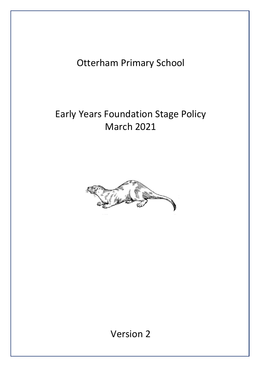## Otterham Primary School

# Early Years Foundation Stage Policy March 2021



Version 2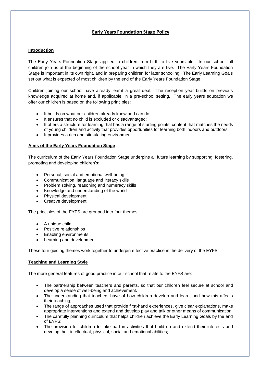## **Early Years Foundation Stage Policy**

### **Introduction**

The Early Years Foundation Stage applied to children from birth to five years old. In our school, all children join us at the beginning of the school year in which they are five. The Early Years Foundation Stage is important in its own right, and in preparing children for later schooling. The Early Learning Goals set out what is expected of most children by the end of the Early Years Foundation Stage.

Children joining our school have already learnt a great deal. The reception year builds on previous knowledge acquired at home and, if applicable, in a pre-school setting. The early years education we offer our children is based on the following principles:

- It builds on what our children already know and can do;
- It ensures that no child is excluded or disadvantaged;
- It offers a structure for learning that has a range of starting points, content that matches the needs of young children and activity that provides opportunities for learning both indoors and outdoors;
- It provides a rich and stimulating environment.

#### **Aims of the Early Years Foundation Stage**

The curriculum of the Early Years Foundation Stage underpins all future learning by supporting, fostering, promoting and developing children's:

- Personal, social and emotional well-being
- Communication, language and literacy skills
- Problem solving, reasoning and numeracy skills
- Knowledge and understanding of the world
- Physical development
- Creative development

The principles of the EYFS are grouped into four themes:

- A unique child
- Positive relationships
- Enabling environments
- Learning and development

These four guiding themes work together to underpin effective practice in the delivery of the EYFS.

## **Teaching and Learning Style**

The more general features of good practice in our school that relate to the EYFS are:

- The partnership between teachers and parents, so that our children feel secure at school and develop a sense of well-being and achievement.
- The understanding that teachers have of how children develop and learn, and how this affects their teaching;
- The range of approaches used that provide first-hand experiences, give clear explanations, make appropriate interventions and extend and develop play and talk or other means of communication;
- The carefully planning curriculum that helps children achieve the Early Learning Goals by the end of EYFS;
- The provision for children to take part in activities that build on and extend their interests and develop their intellectual, physical, social and emotional abilities;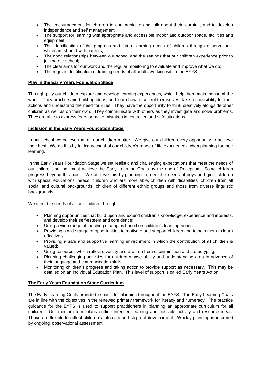- The encouragement for children to communicate and talk about their learning, and to develop independence and self management;
- The support for learning with appropriate and accessible indoor and outdoor space, facilities and equipment;
- The identification of the progress and future learning needs of children through observations, which are shared with parents;
- The good relationships between our school and the settings that our children experience prior to joining our school;
- The clear aims for our work and the regular monitoring to evaluate and improve what we do;
- The regular identification of training needs of all adults working within the EYFS.

## **Play in the Early Years Foundation Stage**

Through play our children explore and develop learning experiences, which help them make sense of the world. They practice and build up ideas, and learn how to control themselves, take responsibility for their actions and understand the need for rules. They have the opportunity to think creatively alongside other children as well as on their own. They communicate with others as they investigate and solve problems. They are able to express fears or make mistakes in controlled and safe situations.

## **Inclusion in the Early Years Foundation Stage**

In our school we believe that all our children matter. We give our children every opportunity to achieve their best. We do this by taking account of our children's range of life experiences when planning for their learning.

In the Early Years Foundation Stage we set realistic and challenging expectations that meet the needs of our children, so that most achieve the Early Learning Goals by the end of Reception. Some children progress beyond this point. We achieve this by planning to meet the needs of boys and girls, children with special educational needs, children who are more able, children with disabilities, children from all social and cultural backgrounds, children of different ethnic groups and those from diverse linguistic backgrounds.

We meet the needs of all our children through:

- Planning opportunities that build upon and extend children's knowledge, experience and interests, and develop their self-esteem and confidence;
- Using a wide range of teaching strategies based on children's learning needs;
- Providing a wide range of opportunities to motivate and support children and to help them to learn effectively;
- Providing a safe and supportive learning environment in which the contribution of all children is valued;
- Using resources which reflect diversity and are free from discrimination and stereotyping;
- Planning challenging activities for children whose ability and understanding area in advance of their language and communication skills;
- Monitoring children's progress and taking action to provide support as necessary. This may be detailed on an Individual Education Plan. This level of support is called Early Years Action.

## **The Early Years Foundation Stage Curriculum**

The Early Learning Goals provide the basis for planning throughout the EYFS. The Early Learning Goals are in line with the objectives in the renewed primary framework for literacy and numeracy. The practice guidance for the EYFS is used to support practitioners in planning an appropriate curriculum for all children. Our medium term plans outline intended learning and possible activity and resource ideas. These are flexible to reflect children's interests and stage of development. Weekly planning is informed by ongoing, observational assessment.